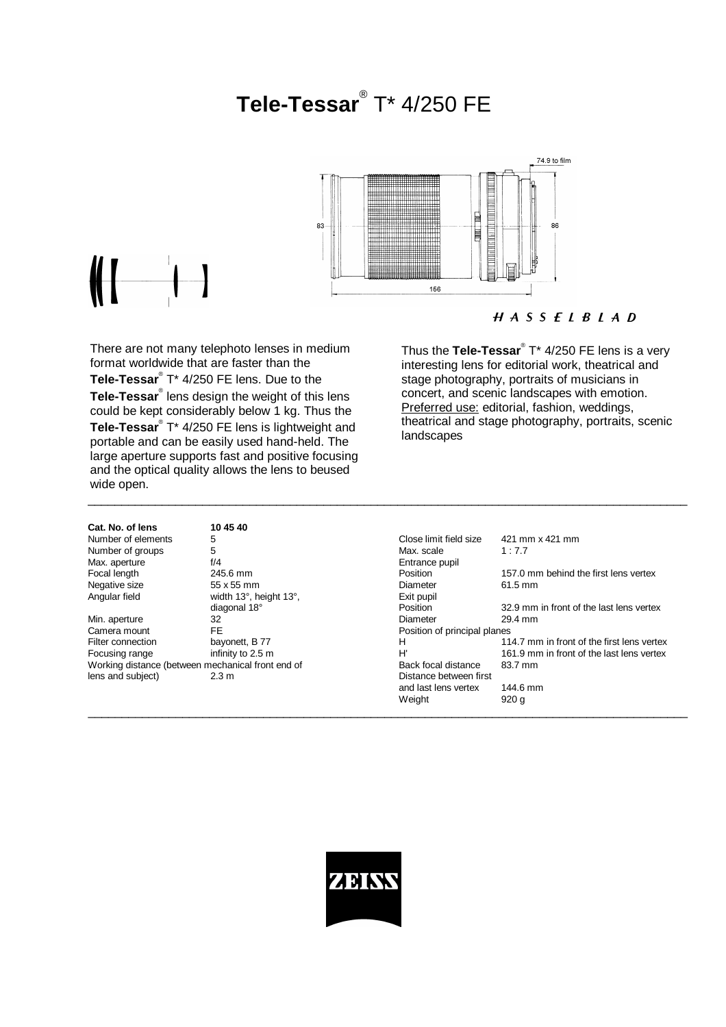# **Tele-Tessar**® T\* 4/250 FE



\_\_\_\_\_\_\_\_\_\_\_\_\_\_\_\_\_\_\_\_\_\_\_\_\_\_\_\_\_\_\_\_\_\_\_\_\_\_\_\_\_\_\_\_\_\_\_\_\_\_\_\_\_\_\_\_\_\_\_\_\_\_\_\_\_\_\_\_\_\_\_\_\_\_\_\_\_\_\_\_\_\_\_\_\_\_\_\_\_

## $H A S S E L B L A D$

There are not many telephoto lenses in medium format worldwide that are faster than the **Tele-Tessar**® T\* 4/250 FE lens. Due to the **Tele-Tessar**® lens design the weight of this lens could be kept considerably below 1 kg. Thus the Tele-Tessar<sup>®</sup> T\* 4/250 FE lens is lightweight and portable and can be easily used hand-held. The large aperture supports fast and positive focusing and the optical quality allows the lens to beused wide open.

Thus the **Tele-Tessar**® T\* 4/250 FE lens is a very interesting lens for editorial work, theatrical and stage photography, portraits of musicians in concert, and scenic landscapes with emotion. Preferred use: editorial, fashion, weddings, theatrical and stage photography, portraits, scenic landscapes

| Cat. No. of lens   | 10 45 40               |                   |
|--------------------|------------------------|-------------------|
| Number of elements | 5                      | Close limit field |
| Number of groups   | 5                      | Max. scale        |
| Max. aperture      | f/4                    | Entrance pupil    |
| Focal length       | 245.6 mm               | Position          |
| Negative size      | 55 x 55 mm             | Diameter          |
| Angular field      | width 13°, height 13°, | Exit pupil        |
|                    | diagonal 18°           | Position          |

| Number of elements                                | 5                      | Close limit field size       | 421 mm x 421 mm                            |
|---------------------------------------------------|------------------------|------------------------------|--------------------------------------------|
| Number of groups                                  | 5                      | Max. scale                   | 1:7.7                                      |
| Max. aperture                                     | f/4                    | Entrance pupil               |                                            |
| Focal length                                      | 245.6 mm               | Position                     | 157.0 mm behind the first lens vertex      |
| Negative size                                     | 55 x 55 mm             | Diameter                     | $61.5$ mm                                  |
| Angular field                                     | width 13°, height 13°, | Exit pupil                   |                                            |
|                                                   | diagonal 18°           | Position                     | 32.9 mm in front of the last lens vertex   |
| Min. aperture                                     | 32                     | Diameter                     | 29.4 mm                                    |
| Camera mount                                      | FE.                    | Position of principal planes |                                            |
| Filter connection                                 | bayonett, B 77         | н                            | 114.7 mm in front of the first lens vertex |
| Focusing range                                    | infinity to 2.5 m      | H'                           | 161.9 mm in front of the last lens vertex  |
| Working distance (between mechanical front end of |                        | Back focal distance          | 83.7 mm                                    |
| lens and subject)                                 | 2.3 m                  | Distance between first       |                                            |
|                                                   |                        | and last lens vertex         | 144.6 mm                                   |
|                                                   |                        | Weight                       | 920 g                                      |
|                                                   |                        |                              |                                            |